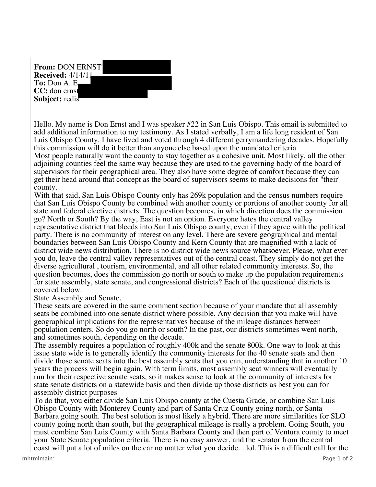**From:** DON ERNST **Received:** 4/14/11 **To:** Don A. E **CC:** don ernst **Subject:** redis

Hello. My name is Don Ernst and I was speaker #22 in San Luis Obispo. This email is submitted to add additional information to my testimony. As I stated verbally, I am a life long resident of San Luis Obispo County. I have lived and voted through 4 different gerrymandering decades. Hopefully this commission will do it better than anyone else based upon the mandated criteria.

Most people naturally want the county to stay together as a cohesive unit. Most likely, all the other adjoining counties feel the same way because they are used to the governing body of the board of supervisors for their geographical area. They also have some degree of comfort because they can get their head around that concept as the board of supervisors seems to make decisions for "their" county.

With that said, San Luis Obispo County only has 269k population and the census numbers require that San Luis Obispo County be combined with another county or portions of another county for all state and federal elective districts. The question becomes, in which direction does the commission go? North or South? By the way, East is not an option. Everyone hates the central valley representative district that bleeds into San Luis Obispo county, even if they agree with the political party. There is no community of interest on any level. There are severe geographical and mental boundaries between San Luis Obispo County and Kern County that are magnified with a lack of district wide news distribution. There is no district wide news source whatsoever. Please, what ever you do, leave the central valley representatives out of the central coast. They simply do not get the diverse agricultural , tourism, environmental, and all other related community interests. So, the question becomes, does the commission go north or south to make up the population requirements for state assembly, state senate, and congressional districts? Each of the questioned districts is covered below.

State Assembly and Senate.

These seats are covered in the same comment section because of your mandate that all assembly seats be combined into one senate district where possible. Any decision that you make will have geographical implications for the representatives because of the mileage distances between population centers. So do you go north or south? In the past, our districts sometimes went north, and sometimes south, depending on the decade.

The assembly requires a population of roughly 400k and the senate 800k. One way to look at this issue state wide is to generally identify the community interests for the 40 senate seats and then divide those senate seats into the best assembly seats that you can, understanding that in another 10 years the process will begin again. With term limits, most assembly seat winners will eventually run for their respective senate seats, so it makes sense to look at the community of interests for state senate districts on a statewide basis and then divide up those districts as best you can for assembly district purposes

To do that, you either divide San Luis Obispo county at the Cuesta Grade, or combine San Luis Obispo County with Monterey County and part of Santa Cruz County going north, or Santa Barbara going south. The best solution is most likely a hybrid. There are more similarities for SLO county going north than south, but the geographical mileage is really a problem. Going South, you must combine San Luis County with Santa Barbara County and then part of Ventura county to meet your State Senate population criteria. There is no easy answer, and the senator from the central coast will put a lot of miles on the car no matter what you decide....lol. This is a difficult call for the